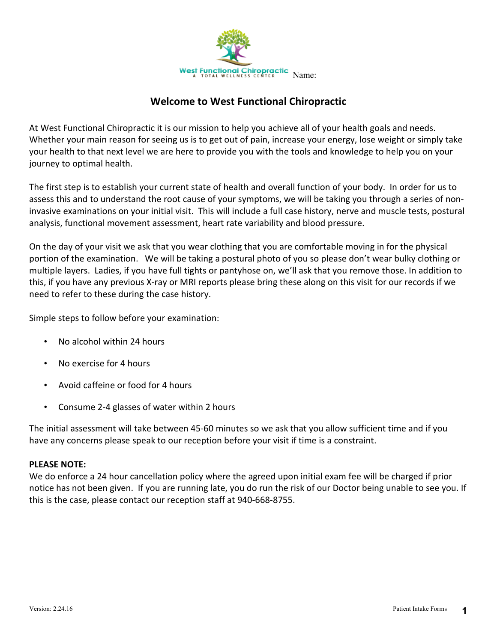

## **Welcome to West Functional Chiropractic**

At West Functional Chiropractic it is our mission to help you achieve all of your health goals and needs. Whether your main reason for seeing us is to get out of pain, increase your energy, lose weight or simply take your health to that next level we are here to provide you with the tools and knowledge to help you on your journey to optimal health.

The first step is to establish your current state of health and overall function of your body. In order for us to assess this and to understand the root cause of your symptoms, we will be taking you through a series of noninvasive examinations on your initial visit. This will include a full case history, nerve and muscle tests, postural analysis, functional movement assessment, heart rate variability and blood pressure.

On the day of your visit we ask that you wear clothing that you are comfortable moving in for the physical portion of the examination. We will be taking a postural photo of you so please don't wear bulky clothing or multiple layers. Ladies, if you have full tights or pantyhose on, we'll ask that you remove those. In addition to this, if you have any previous X-ray or MRI reports please bring these along on this visit for our records if we need to refer to these during the case history.

Simple steps to follow before your examination:

- No alcohol within 24 hours
- No exercise for 4 hours
- Avoid caffeine or food for 4 hours
- Consume 2-4 glasses of water within 2 hours

The initial assessment will take between 45-60 minutes so we ask that you allow sufficient time and if you have any concerns please speak to our reception before your visit if time is a constraint.

### **PLEASE NOTE:**

We do enforce a 24 hour cancellation policy where the agreed upon initial exam fee will be charged if prior notice has not been given. If you are running late, you do run the risk of our Doctor being unable to see you. If this is the case, please contact our reception staff at 940-668-8755.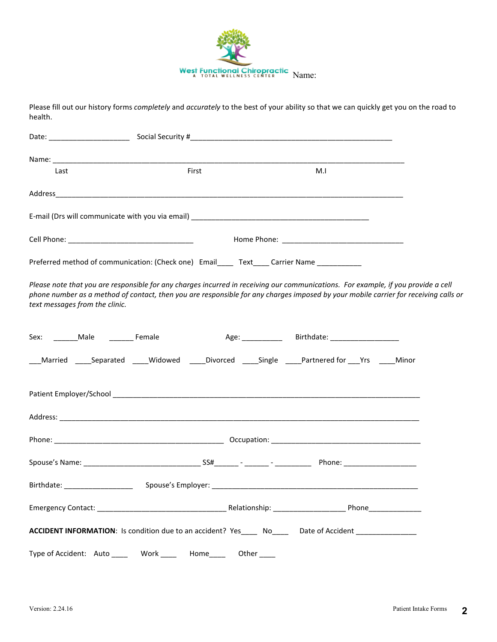

Please fill out our history forms *completely* and *accurately* to the best of your ability so that we can quickly get you on the road to health.

| Last                                                                                                                                                                                                                                                                                                       | First                 |       | M.I |  |
|------------------------------------------------------------------------------------------------------------------------------------------------------------------------------------------------------------------------------------------------------------------------------------------------------------|-----------------------|-------|-----|--|
|                                                                                                                                                                                                                                                                                                            |                       |       |     |  |
|                                                                                                                                                                                                                                                                                                            |                       |       |     |  |
|                                                                                                                                                                                                                                                                                                            |                       |       |     |  |
| Preferred method of communication: (Check one) Email______ Text____ Carrier Name ___________                                                                                                                                                                                                               |                       |       |     |  |
| Please note that you are responsible for any charges incurred in receiving our communications. For example, if you provide a cell<br>phone number as a method of contact, then you are responsible for any charges imposed by your mobile carrier for receiving calls or<br>text messages from the clinic. |                       |       |     |  |
|                                                                                                                                                                                                                                                                                                            |                       |       |     |  |
| _Married ______Separated ______Widowed ______Divorced ______Single ______Partnered for ____Yrs ______Minor                                                                                                                                                                                                 |                       |       |     |  |
|                                                                                                                                                                                                                                                                                                            |                       |       |     |  |
|                                                                                                                                                                                                                                                                                                            |                       |       |     |  |
|                                                                                                                                                                                                                                                                                                            |                       |       |     |  |
|                                                                                                                                                                                                                                                                                                            |                       |       |     |  |
|                                                                                                                                                                                                                                                                                                            |                       |       |     |  |
|                                                                                                                                                                                                                                                                                                            |                       |       |     |  |
| ACCIDENT INFORMATION: Is condition due to an accident? Yes______ No_______Date of Accident _______________                                                                                                                                                                                                 |                       |       |     |  |
| Type of Accident: Auto ____                                                                                                                                                                                                                                                                                | Work _____  Home_____ | Other |     |  |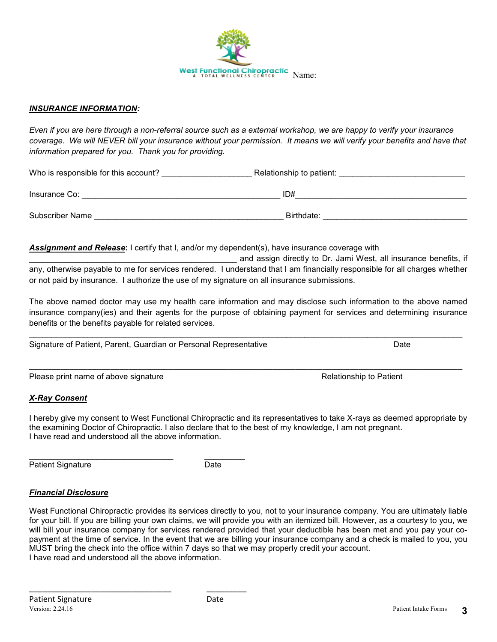

#### *INSURANCE INFORMATION:*

*Even if you are here through a non-referral source such as a external workshop, we are happy to verify your insurance*  coverage. We will NEVER bill your insurance without your permission. It means we will verify your benefits and have that *information prepared for you. Thank you for providing.*

Who is responsible for this account? \_\_\_\_\_\_\_\_\_\_\_\_\_\_\_\_\_\_\_\_ Relationship to patient: \_\_\_\_\_\_\_\_\_\_\_\_\_\_\_\_\_\_\_\_\_\_\_\_\_\_\_\_

| Insurance Co:   | ID#        |
|-----------------|------------|
| Subscriber Name | Birthdate: |

*Assignment and Release***:** I certify that I, and/or my dependent(s), have insurance coverage with

and assign directly to Dr. Jami West, all insurance benefits, if any, otherwise payable to me for services rendered. I understand that I am financially responsible for all charges whether or not paid by insurance. I authorize the use of my signature on all insurance submissions.

The above named doctor may use my health care information and may disclose such information to the above named insurance company(ies) and their agents for the purpose of obtaining payment for services and determining insurance benefits or the benefits payable for related services.

Signature of Patient, Parent, Guardian or Personal Representative **Date** Date

\_\_\_\_\_\_\_\_\_\_\_\_\_\_\_\_\_\_\_\_\_\_\_\_\_\_\_\_\_\_\_\_ \_\_\_\_\_\_\_\_\_

Please print name of above signature **Relationship to Patient** Relationship to Patient

#### *X-Ray Consent*

I hereby give my consent to West Functional Chiropractic and its representatives to take X-rays as deemed appropriate by the examining Doctor of Chiropractic. I also declare that to the best of my knowledge, I am not pregnant. I have read and understood all the above information.

Patient Signature Date

\_\_\_\_\_\_\_\_\_\_\_\_\_\_\_\_\_\_\_\_\_\_\_\_\_\_\_\_\_\_\_\_ \_\_\_\_\_\_\_\_\_

#### *Financial Disclosure*

West Functional Chiropractic provides its services directly to you, not to your insurance company. You are ultimately liable for your bill. If you are billing your own claims, we will provide you with an itemized bill. However, as a courtesy to you, we will bill your insurance company for services rendered provided that your deductible has been met and you pay your copayment at the time of service. In the event that we are billing your insurance company and a check is mailed to you, you MUST bring the check into the office within 7 days so that we may properly credit your account. I have read and understood all the above information.

**\_\_\_\_\_\_\_\_\_\_\_\_\_\_\_\_\_\_\_\_\_\_\_\_\_\_\_\_\_\_\_\_\_\_\_\_\_\_\_\_\_\_\_\_\_\_\_\_\_\_\_\_\_\_\_\_\_\_\_\_\_\_\_\_\_\_\_\_\_\_\_\_\_\_\_\_\_\_\_\_\_\_\_\_\_\_\_\_\_\_\_\_\_\_\_\_**

\_\_\_\_\_\_\_\_\_\_\_\_\_\_\_\_\_\_\_\_\_\_\_\_\_\_\_\_\_\_\_\_\_\_\_\_\_\_\_\_\_\_\_\_\_\_\_\_\_\_\_\_\_\_\_\_\_\_\_\_\_\_\_\_\_\_\_\_\_\_\_\_\_\_\_\_\_\_\_\_\_\_\_\_\_\_\_\_\_\_\_\_\_\_\_\_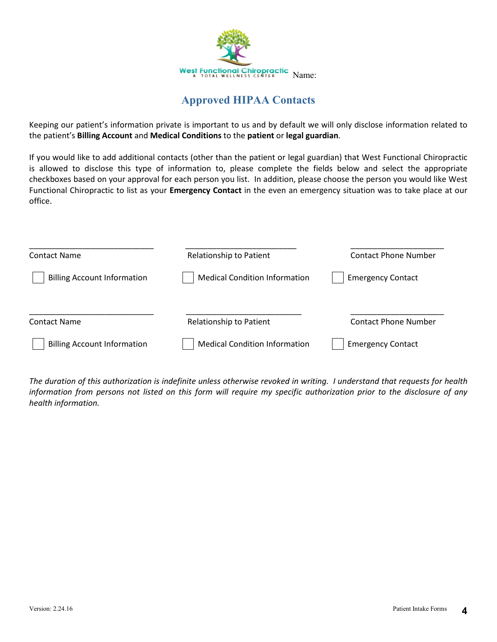

## **Approved HIPAA Contacts**

Keeping our patient's information private is important to us and by default we will only disclose information related to the patient's **Billing Account** and **Medical Conditions** to the **patient** or **legal guardian**.

If you would like to add additional contacts (other than the patient or legal guardian) that West Functional Chiropractic is allowed to disclose this type of information to, please complete the fields below and select the appropriate checkboxes based on your approval for each person you list. In addition, please choose the person you would like West Functional Chiropractic to list as your **Emergency Contact** in the even an emergency situation was to take place at our office.

| <b>Contact Name</b>                | <b>Relationship to Patient</b>       | <b>Contact Phone Number</b> |
|------------------------------------|--------------------------------------|-----------------------------|
| <b>Billing Account Information</b> | <b>Medical Condition Information</b> | <b>Emergency Contact</b>    |
| <b>Contact Name</b>                | Relationship to Patient              | <b>Contact Phone Number</b> |
| <b>Billing Account Information</b> | <b>Medical Condition Information</b> | <b>Emergency Contact</b>    |

*The duration of this authorization is indefinite unless otherwise revoked in writing. I understand that requests for health information from persons not listed on this form will require my specific authorization prior to the disclosure of any health information.*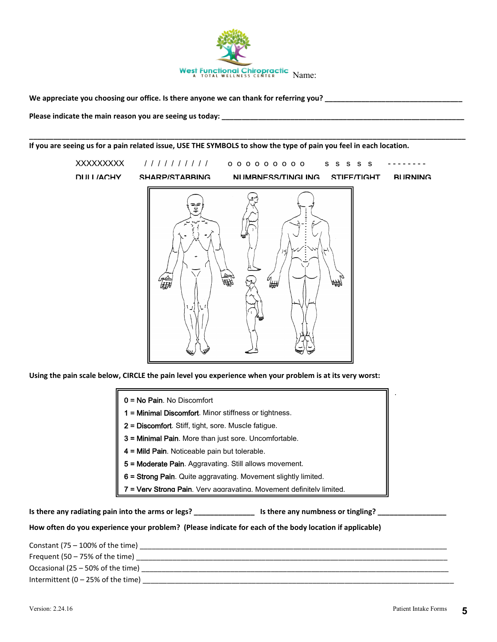

**\_\_\_\_\_\_\_\_\_\_\_\_\_\_\_\_\_\_\_\_\_\_\_\_\_\_\_\_\_\_\_\_\_\_\_\_\_\_\_\_\_\_\_\_\_\_\_\_\_\_\_\_\_\_\_\_\_\_\_\_\_\_\_\_\_\_\_\_\_\_\_\_\_\_\_\_\_\_\_\_\_\_\_\_\_\_\_\_\_\_\_\_\_\_\_\_\_\_\_\_\_\_\_\_\_\_\_\_**

**We appreciate you choosing our office. Is there anyone we can thank for referring you? \_\_\_\_\_\_\_\_\_\_\_\_\_\_\_\_\_\_\_\_\_\_\_\_\_\_\_\_\_\_\_\_\_\_**

Please indicate the main reason you are seeing us today: \_\_\_\_\_\_\_\_\_\_\_\_\_\_\_\_\_\_\_\_\_\_\_\_

**If you are seeing us for a pain related issue, USE THE SYMBOLS to show the type of pain you feel in each location.** 



**Using the pain scale below, CIRCLE the pain level you experience when your problem is at its very worst:** 

| <b>0 = No Pain</b> . No Discomfort |  |
|------------------------------------|--|
|                                    |  |

1 = Minimal Discomfort. Minor stiffness or tightness.

- 2 = Discomfort. Stiff, tight, sore. Muscle fatigue.
- 3 = Minimal Pain. More than just sore. Uncomfortable.
- 4 = Mild Pain. Noticeable pain but tolerable.
- 5 = Moderate Pain. Aggravating. Still allows movement.
- 6 = Strong Pain. Quite aggravating. Movement slightly limited.
- 7 = Verv Strong Pain. Verv aggravating. Movement definitely limited.

Is there any radiating pain into the arms or legs? \_\_\_\_\_\_\_\_\_\_\_\_\_\_\_\_\_\_\_\_\_\_\_\_\_\_\_\_\_\_ Is there any numbness or tingling? \_\_\_\_\_\_\_\_\_\_\_\_\_\_\_\_\_\_

**How often do you experience your problem? (Please indicate for each of the body location if applicable)** 

Constant (75 – 100% of the time)  $\qquad \qquad \qquad$ Frequent (50 – 75% of the time) \_\_\_\_\_\_\_\_\_\_\_\_\_\_\_\_\_\_\_\_\_\_\_\_\_\_\_\_\_\_\_\_\_\_\_\_\_\_\_\_\_\_\_\_\_\_\_\_\_\_\_\_\_\_\_\_\_\_\_\_\_\_\_\_\_\_\_\_\_\_\_\_\_\_\_\_\_ Occasional (25 – 50% of the time) \_\_\_\_\_\_\_\_\_\_\_\_\_\_\_\_\_\_\_\_\_\_\_\_\_\_\_\_\_\_\_\_\_\_\_\_\_\_\_\_\_\_\_\_\_\_\_\_\_\_\_\_\_\_\_\_\_\_\_\_\_\_\_\_\_\_\_\_\_\_\_\_\_\_\_\_ Intermittent  $(0 - 25\% \text{ of the time})$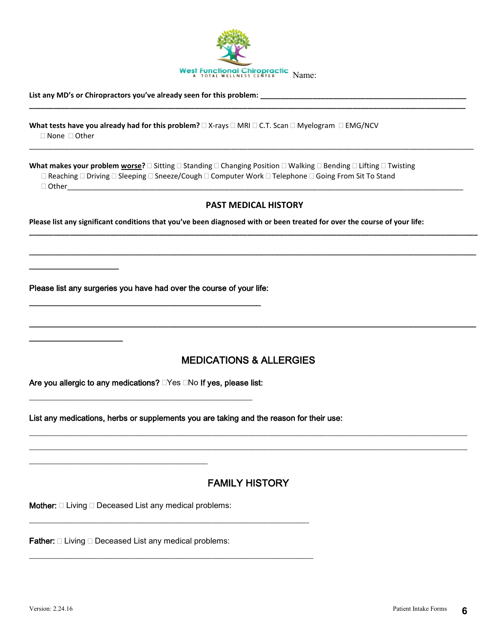

**\_\_\_\_\_\_\_\_\_\_\_\_\_\_\_\_\_\_\_\_\_\_\_\_\_\_\_\_\_\_\_\_\_\_\_\_\_\_\_\_\_\_\_\_\_\_\_\_\_\_\_\_\_\_\_\_\_\_\_\_\_\_\_\_\_\_\_\_\_\_\_\_\_\_\_\_\_\_\_\_\_\_\_\_\_\_\_\_\_\_\_\_\_\_\_\_\_\_\_\_\_\_\_\_\_\_\_\_**

\_\_\_\_\_\_\_\_\_\_\_\_\_\_\_\_\_\_\_\_\_\_\_\_\_\_\_\_\_\_\_\_\_\_\_\_\_\_\_\_\_\_\_\_\_\_\_\_\_\_\_\_\_\_\_\_\_\_\_\_\_\_\_\_\_\_\_\_\_\_\_\_\_\_\_\_\_\_\_\_\_\_\_\_\_\_\_\_\_\_\_\_\_\_\_\_\_\_\_\_\_\_\_\_\_\_\_\_\_\_

#### List any MD's or Chiropractors you've already seen for this problem: \_\_\_\_\_

**What tests have you already had for this problem?**  $\Box$  X-rays  $\Box$  MRI  $\Box$  C.T. Scan  $\Box$  Myelogram  $\Box$  EMG/NCV □ None □ Other

What makes your problem worse?  $\square$  Sitting  $\square$  Standing  $\square$  Changing Position  $\square$  Walking  $\square$  Bending  $\square$  Lifting  $\square$  Twisting  $\Box$  Reaching  $\Box$  Driving  $\Box$  Sleeping  $\Box$  Sneeze/Cough  $\Box$  Computer Work  $\Box$  Telephone  $\Box$  Going From Sit To Stand

Other\_\_\_\_\_\_\_\_\_\_\_\_\_\_\_\_\_\_\_\_\_\_\_\_\_\_\_\_\_\_\_\_\_\_\_\_\_\_\_\_\_\_\_\_\_\_\_\_\_\_\_\_\_\_\_\_\_\_\_\_\_\_\_\_\_\_\_\_\_\_\_\_\_\_\_\_\_\_\_\_\_\_\_\_\_\_\_\_\_\_\_\_\_\_\_\_\_\_

\_\_\_\_\_\_\_\_\_\_\_\_\_\_\_\_\_\_\_\_\_\_

\_\_\_\_\_\_\_\_\_\_\_\_\_\_\_\_\_\_\_\_\_\_\_

#### **PAST MEDICAL HISTORY**

**\_\_\_\_\_\_\_\_\_\_\_\_\_\_\_\_\_\_\_\_\_\_\_\_\_\_\_\_\_\_\_\_\_\_\_\_\_\_\_\_\_\_\_\_\_\_\_\_\_\_\_\_\_\_\_\_\_\_\_\_\_\_\_\_\_\_\_\_\_\_\_\_\_\_\_\_\_\_\_\_\_\_\_\_\_\_\_\_\_\_\_\_\_\_\_\_\_\_\_\_\_\_\_\_\_\_\_\_\_\_\_**

\_\_\_\_\_\_\_\_\_\_\_\_\_\_\_\_\_\_\_\_\_\_\_\_\_\_\_\_\_\_\_\_\_\_\_\_\_\_\_\_\_\_\_\_\_\_\_\_\_\_\_\_\_\_\_\_\_\_\_\_\_\_\_\_\_\_\_\_\_\_\_\_\_\_\_\_\_\_\_\_\_\_\_\_\_\_\_\_\_\_\_\_\_\_\_\_\_\_\_\_\_\_\_\_\_\_\_\_\_\_

**Please list any significant conditions that you've been diagnosed with or been treated for over the course of your life:** 

Please list any surgeries you have had over the course of your life: \_\_\_\_\_\_\_\_\_\_\_\_\_\_\_\_\_\_\_\_\_\_\_\_\_\_\_\_\_\_\_\_\_\_\_\_\_\_\_\_\_\_\_\_\_\_\_\_\_\_\_\_\_\_\_\_\_

## MEDICATIONS & ALLERGIES

\_\_\_\_\_\_\_\_\_\_\_\_\_\_\_\_\_\_\_\_\_\_\_\_\_\_\_\_\_\_\_\_\_\_\_\_\_\_\_\_\_\_\_\_\_\_\_\_\_\_\_\_\_\_\_\_\_\_\_\_\_\_\_\_\_\_\_\_\_\_\_\_\_\_\_\_\_\_\_\_\_\_\_\_\_\_\_\_\_\_\_\_\_\_\_\_\_\_\_\_\_\_\_\_\_\_\_\_\_\_

Are you allergic to any medications?  $\Box$  Yes  $\Box$  No If yes, please list:

\_\_\_\_\_\_\_\_\_\_\_\_\_\_\_\_\_\_\_\_\_\_\_\_\_\_\_\_\_\_\_\_\_\_\_\_\_\_\_\_\_\_\_\_\_\_\_\_\_\_\_\_\_\_\_

List any medications, herbs or supplements you are taking and the reason for their use:

\_\_\_\_\_\_\_\_\_\_\_\_\_\_\_\_\_\_\_\_\_\_\_\_\_\_\_\_\_\_\_\_\_\_\_\_\_\_\_\_\_\_\_\_\_\_\_\_\_\_\_\_\_\_\_\_\_\_\_\_\_\_\_\_\_\_\_\_\_

\_\_\_\_\_\_\_\_\_\_\_\_\_\_\_\_\_\_\_\_\_\_\_\_\_\_\_\_\_\_\_\_\_\_\_\_\_\_\_\_\_\_\_\_\_\_\_\_\_\_\_\_\_\_\_\_\_\_\_\_\_\_\_\_\_\_\_\_\_\_

## FAMILY HISTORY

\_\_\_\_\_\_\_\_\_\_\_\_\_\_\_\_\_\_\_\_\_\_\_\_\_\_\_\_\_\_\_\_\_\_\_\_\_\_\_\_\_\_\_\_\_\_\_\_\_\_\_\_\_\_\_\_\_\_\_\_\_\_\_\_\_\_\_\_\_\_\_\_\_\_\_\_\_\_\_\_\_\_\_\_\_\_\_\_\_\_\_\_\_\_\_\_\_\_\_\_\_\_\_\_\_\_\_\_ \_\_\_\_\_\_\_\_\_\_\_\_\_\_\_\_\_\_\_\_\_\_\_\_\_\_\_\_\_\_\_\_\_\_\_\_\_\_\_\_\_\_\_\_\_\_\_\_\_\_\_\_\_\_\_\_\_\_\_\_\_\_\_\_\_\_\_\_\_\_\_\_\_\_\_\_\_\_\_\_\_\_\_\_\_\_\_\_\_\_\_\_\_\_\_\_\_\_\_\_\_\_\_\_\_\_\_\_

**Mother:**  $\Box$  Living  $\Box$  Deceased List any medical problems:

\_\_\_\_\_\_\_\_\_\_\_\_\_\_\_\_\_\_\_\_\_\_\_\_\_\_\_\_\_\_\_\_\_\_\_\_\_\_\_\_\_\_\_\_

**Father:**  $\Box$  Living  $\Box$  Deceased List any medical problems: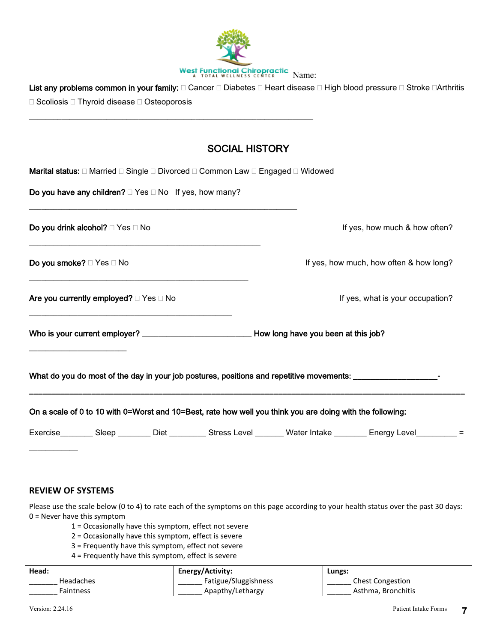

List any problems common in your family:  $\Box$  Cancer  $\Box$  Diabetes  $\Box$  Heart disease  $\Box$  High blood pressure  $\Box$  Stroke  $\Box$ Arthritis  $\Box$  Scoliosis  $\Box$  Thyroid disease  $\Box$  Osteoporosis

\_\_\_\_\_\_\_\_\_\_\_\_\_\_\_\_\_\_\_\_\_\_\_\_\_\_\_\_\_\_\_\_\_\_\_\_\_\_\_\_\_\_\_\_\_\_\_\_\_\_\_\_\_\_\_\_\_\_\_\_\_\_\_\_\_\_\_\_\_\_

## SOCIAL HISTORY

| Marital status: □ Married □ Single □ Divorced □ Common Law □ Engaged □ Widowed                                 |                                                                                                                           |
|----------------------------------------------------------------------------------------------------------------|---------------------------------------------------------------------------------------------------------------------------|
| Do you have any children? $\Box$ Yes $\Box$ No If yes, how many?                                               |                                                                                                                           |
| <b>Do you drink alcohol?</b> □ Yes □ No                                                                        | If yes, how much & how often?                                                                                             |
| <b>Do you smoke?</b> □ Yes □ No                                                                                | If yes, how much, how often & how long?                                                                                   |
| Are you currently employed? $\Box$ Yes $\Box$ No                                                               | If yes, what is your occupation?                                                                                          |
|                                                                                                                |                                                                                                                           |
| What do you do most of the day in your job postures, positions and repetitive movements: _____________________ |                                                                                                                           |
| On a scale of 0 to 10 with 0=Worst and 10=Best, rate how well you think you are doing with the following:      |                                                                                                                           |
|                                                                                                                | Exercise___________Sleep __________ Diet ___________ Stress Level _________ Water Intake _________ Energy Level__________ |
|                                                                                                                |                                                                                                                           |

### **REVIEW OF SYSTEMS**

Please use the scale below (0 to 4) to rate each of the symptoms on this page according to your health status over the past 30 days: 0 = Never have this symptom

- 1 = Occasionally have this symptom, effect not severe
- 2 = Occasionally have this symptom, effect is severe
- 3 = Frequently have this symptom, effect not severe
- 4 = Frequently have this symptom, effect is severe

| Head:     | Energy/Activity:     | Lungs:                  |
|-----------|----------------------|-------------------------|
| Headaches | Fatigue/Sluggishness | <b>Chest Congestion</b> |
| Faintness | Apapthy/Lethargy     | Asthma, Bronchitis      |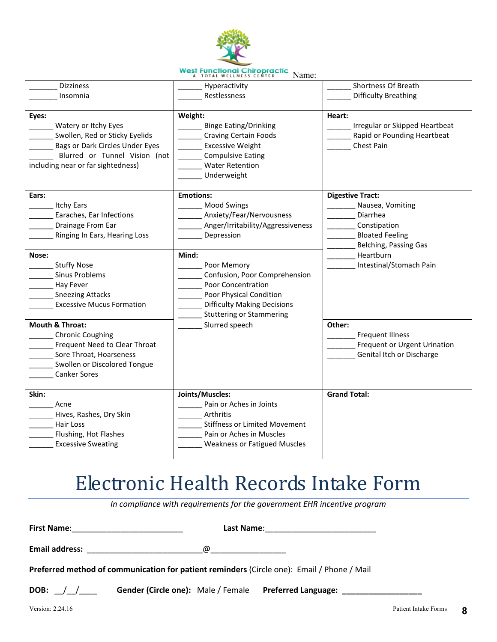

| <b>Dizziness</b>                   | Hyperactivity                        | Shortness Of Breath            |
|------------------------------------|--------------------------------------|--------------------------------|
| Insomnia                           | Restlessness                         | <b>Difficulty Breathing</b>    |
|                                    |                                      |                                |
| Eyes:                              | Weight:                              | Heart:                         |
| Watery or Itchy Eyes               | <b>Binge Eating/Drinking</b>         | Irregular or Skipped Heartbeat |
| Swollen, Red or Sticky Eyelids     | <b>Craving Certain Foods</b>         | Rapid or Pounding Heartbeat    |
| Bags or Dark Circles Under Eyes    | <b>Excessive Weight</b>              | Chest Pain                     |
| Blurred or Tunnel Vision (not      | <b>Compulsive Eating</b>             |                                |
| including near or far sightedness) | <b>Water Retention</b>               |                                |
|                                    | Underweight                          |                                |
|                                    |                                      |                                |
| Ears:                              | <b>Emotions:</b>                     | <b>Digestive Tract:</b>        |
|                                    |                                      |                                |
| <b>Itchy Ears</b>                  | <b>Mood Swings</b>                   | Nausea, Vomiting<br>Diarrhea   |
| Earaches, Ear Infections           | Anxiety/Fear/Nervousness             |                                |
| Drainage From Ear                  | Anger/Irritability/Aggressiveness    | Constipation                   |
| Ringing In Ears, Hearing Loss      | Depression                           | <b>Bloated Feeling</b>         |
|                                    |                                      | Belching, Passing Gas          |
| Nose:                              | Mind:                                | Heartburn                      |
| <b>Stuffy Nose</b>                 | Poor Memory                          | Intestinal/Stomach Pain        |
| <b>Sinus Problems</b>              | Confusion, Poor Comprehension        |                                |
| Hay Fever                          | Poor Concentration                   |                                |
| <b>Sneezing Attacks</b>            | Poor Physical Condition              |                                |
| <b>Excessive Mucus Formation</b>   | <b>Difficulty Making Decisions</b>   |                                |
|                                    | <b>Stuttering or Stammering</b>      |                                |
| <b>Mouth &amp; Throat:</b>         | Slurred speech                       | Other:                         |
| <b>Chronic Coughing</b>            |                                      | <b>Frequent Illness</b>        |
| Frequent Need to Clear Throat      |                                      | Frequent or Urgent Urination   |
| Sore Throat, Hoarseness            |                                      | Genital Itch or Discharge      |
| Swollen or Discolored Tongue       |                                      |                                |
| Canker Sores                       |                                      |                                |
|                                    |                                      |                                |
| Skin:                              | Joints/Muscles:                      | <b>Grand Total:</b>            |
|                                    | Pain or Aches in Joints              |                                |
| Acne                               |                                      |                                |
| Hives, Rashes, Dry Skin            | Arthritis                            |                                |
| Hair Loss                          | <b>Stiffness or Limited Movement</b> |                                |
| Flushing, Hot Flashes              | Pain or Aches in Muscles             |                                |
| <b>Excessive Sweating</b>          | <b>Weakness or Fatigued Muscles</b>  |                                |
|                                    |                                      |                                |

# Electronic Health Records Intake Form

*In compliance with requirements for the government EHR incentive program*

**First Name**:\_\_\_\_\_\_\_\_\_\_\_\_\_\_\_\_\_\_\_\_\_\_\_\_\_ **Last Name**:\_\_\_\_\_\_\_\_\_\_\_\_\_\_\_\_\_\_\_\_\_\_\_\_\_ **Email address:**  $\qquad \qquad \qquad \qquad \qquad \qquad \qquad \qquad$ **Preferred method of communication for patient reminders** (Circle one): Email / Phone / Mail **DOB:** \_\_/\_\_/\_\_\_\_ **Gender (Circle one):** Male / Female **Preferred Language: \_\_\_\_\_\_\_\_\_\_\_\_\_\_\_\_\_\_**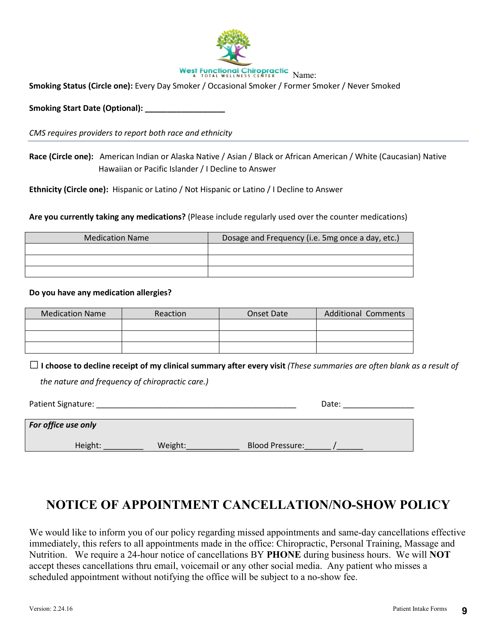

**Smoking Status (Circle one):** Every Day Smoker / Occasional Smoker / Former Smoker / Never Smoked

Smoking Start Date (Optional):

*CMS requires providers to report both race and ethnicity*

**Race (Circle one):** American Indian or Alaska Native / Asian / Black or African American / White (Caucasian) Native Hawaiian or Pacific Islander / I Decline to Answer

**Ethnicity (Circle one):** Hispanic or Latino / Not Hispanic or Latino / I Decline to Answer

**Are you currently taking any medications?** (Please include regularly used over the counter medications)

| <b>Medication Name</b> | Dosage and Frequency (i.e. 5mg once a day, etc.) |  |  |
|------------------------|--------------------------------------------------|--|--|
|                        |                                                  |  |  |
|                        |                                                  |  |  |
|                        |                                                  |  |  |

#### **Do you have any medication allergies?**

| <b>Medication Name</b> | <b>Reaction</b> | Onset Date | <b>Additional Comments</b> |
|------------------------|-----------------|------------|----------------------------|
|                        |                 |            |                            |
|                        |                 |            |                            |
|                        |                 |            |                            |

□**I choose to decline receipt of my clinical summary after every visit** *(These summaries are often blank as a result of the nature and frequency of chiropractic care.)*

| Patient Signature:  | Date:   |                        |  |
|---------------------|---------|------------------------|--|
|                     |         |                        |  |
| For office use only |         |                        |  |
|                     |         |                        |  |
| Height:             | Weight: | <b>Blood Pressure:</b> |  |
|                     |         |                        |  |

## **NOTICE OF APPOINTMENT CANCELLATION/NO-SHOW POLICY**

We would like to inform you of our policy regarding missed appointments and same-day cancellations effective immediately, this refers to all appointments made in the office: Chiropractic, Personal Training, Massage and Nutrition. We require a 24-hour notice of cancellations BY **PHONE** during business hours. We will **NOT** accept theses cancellations thru email, voicemail or any other social media. Any patient who misses a scheduled appointment without notifying the office will be subject to a no-show fee.